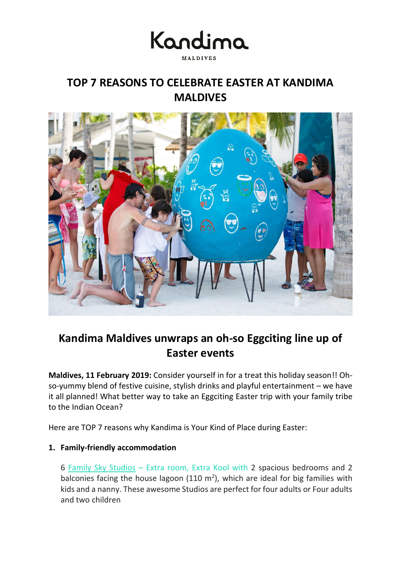

# **TOP 7 REASONS TO CELEBRATE EASTER AT KANDIMA MALDIVES**



# **Kandima Maldives unwraps an oh-so Eggciting line up of Easter events**

**Maldives, 11 February 2019:** Consider yourself in for a treat this holiday season!! Ohso-yummy blend of festive cuisine, stylish drinks and playful entertainment – we have it all planned! What better way to take an Eggciting Easter trip with your family tribe to the Indian Ocean?

Here are TOP 7 reasons why Kandima is Your Kind of Place during Easter:

# **1. Family-friendly accommodation**

6 [Family Sky Studios](http://kandima.com/index.php/en/studios-villas/beach-sky-studios) – Extra room, Extra Kool with 2 spacious bedrooms and 2 balconies facing the house lagoon (110  $m<sup>2</sup>$ ), which are ideal for big families with kids and a nanny. These awesome Studios are perfect for four adults or Four adults and two children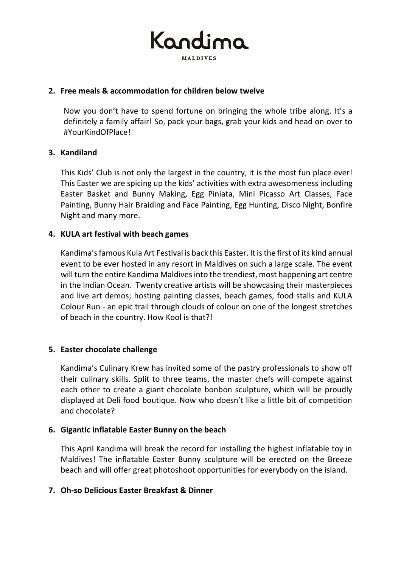

### **2. Free meals & accommodation for children below twelve**

Now you don't have to spend fortune on bringing the whole tribe along. It's a definitely a family affair! So, pack your bags, grab your kids and head on over to #YourKindOfPlace!

## **3. Kandiland**

This Kids' Club is not only the largest in the country, it is the most fun place ever! This Easter we are spicing up the kids' activities with extra awesomeness including Easter Basket and Bunny Making, Egg Piniata, Mini Picasso Art Classes, Face Painting, Bunny Hair Braiding and Face Painting, Egg Hunting, Disco Night, Bonfire Night and many more.

## **4. KULA art festival with beach games**

Kandima'sfamous Kula Art Festival is back this Easter. Itis the first of its kind annual event to be ever hosted in any resort in Maldives on such a large scale. The event will turn the entire Kandima Maldives into the trendiest, most happening art centre in the Indian Ocean. Twenty creative artists will be showcasing their masterpieces and live art demos; hosting painting classes, beach games, food stalls and KULA Colour Run - an epic trail through clouds of colour on one of the longest stretches of beach in the country. How Kool is that?!

#### **5. Easter chocolate challenge**

Kandima's Culinary Krew has invited some of the pastry professionals to show off their culinary skills. Split to three teams, the master chefs will compete against each other to create a giant chocolate bonbon sculpture, which will be proudly displayed at Deli food boutique. Now who doesn't like a little bit of competition and chocolate?

#### **6. Gigantic inflatable Easter Bunny on the beach**

This April Kandima will break the record for installing the highest inflatable toy in Maldives! The inflatable Easter Bunny sculpture will be erected on the Breeze beach and will offer great photoshoot opportunities for everybody on the island.

# **7. Oh-so Delicious Easter Breakfast & Dinner**